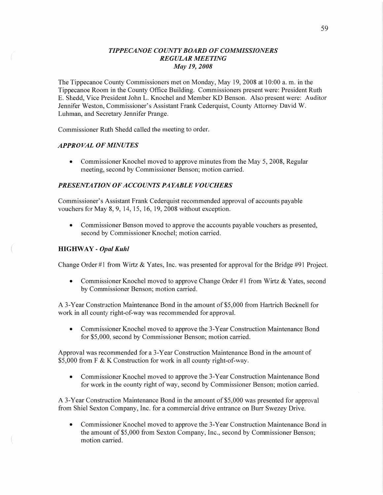### *TIPPECANOE COUNTYBOARD* OF *COMMISSIONERS REGULAR MEETING*  May 19, *2008*

The Tippecanoe County Commissioners met on Monday, May 19, 2008 at 10:00 a. m. in the Tippecanoe Room in the County Office Building. Commissioners present were: President Ruth E. Shedd, Vice President John L. Knochel and Member KD Benson. Also present were: Auditor Jennifer Weston, Commissioner's Assistant Frank Cederquist, County Attorney David W. Luhman, and Secretary Jennifer Prange.

Commissioner Ruth Shedd called the meeting to order.

# *APPROVAL* OF *MINUTES*

**0** Commissioner Knochel moved to approve minutes from the May 5, 2008, Regular meeting, second by Commissioner Benson; motion carried.

## **PRESENTATION OF ACCOUNTS PAYABLE VOUCHERS**

Commissioner's Assistant Frank Cederquist recommended approval of accounts payable vouchers for May 8, 9, 14, 15, 16, 19, 2008 Without exception.

**0** Commissioner Benson moved to approve the accounts payable vouchers as presented, second by Commissioner Knochel; motion carried.

## **HIGHWAY** *- Opal Kuhl*

 $\left(\begin{array}{c} \mathbf{1} \ \mathbf{1} \ \mathbf{1} \ \mathbf{1} \end{array}\right)$ 

Change Order #1 from Wirtz & Yates, Inc. was presented for approval for the Bridge #91 Project.

**•** Commissioner Knochel moved to approve Change Order #1 from Wirtz & Yates, second by Commissioner Benson; motion carried.

*A* 3—Year Construction Maintenance Bond in the amount of \$5 ,000 from Hartrich Becknell for work in all county right-of-way was recommended for approval.

**0** Commissioner Knochel moved to approve the 3-Year Construction Maintenance Bond for \$5,000, second by Commissioner Benson; motion carried.

Approval was recommended for a 3-Year Construction Maintenance Bond in the amount of \$5,000 from F & K Construction for work in all county right-of-way.

**0** Commissioner Knochel moved to approve the 3-Year Construction Maintenance Bond for work in the county right of way, second by Commissioner Benson; motion carried.

**A** 3—Year Construction Maintenance Bond in the amount of \$5,000 was presented for approval from Shiel Sexton Company, Inc. for a commercial drive entrance on Burr Swezey Drive.

• Commissioner Knochel moved to approve the 3-Year Construction Maintenance Bond in the amount of \$5,000 from Sexton Company, Inc., second by Commissioner Benson; motion carried.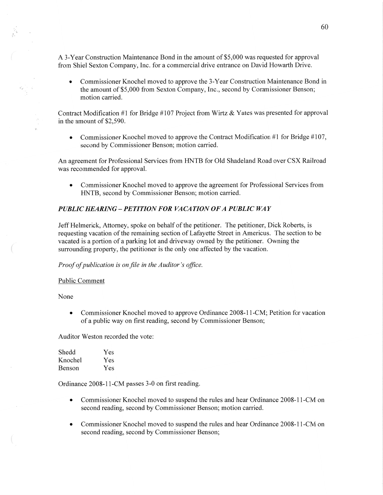A 3-Year Construction Maintenance Bond in the amount of \$5,000 was requested for approval from Shiel Sexton Company, Inc. for a commercial drive entrance on David Howarth Drive.

**0** Commissioner Knochel moved to approve the 3-Year Construction Maintenance Bond in the amount of \$5,000 from Sexton Company, **Inc.,** second by Commissioner Benson; motion carried.

Contract Modification #1 for Bridge #107 Project from Wirtz & Yates was presented for approval in the amount of \$2,590.

• Commissioner Knochel moved to approve the Contract Modification #1 for Bridge #107, second by Commissioner Benson; motion carried.

An agreement for Professional Services from HNTB for Old Shadeland Road over CSX Railroad was recommended for approval.

**0** Commissioner Knochel moved to approve the agreement for Professional Services from HNTB, second by Commissioner Benson; motion carried.

#### *PUBLIC HEARING* **—** *PETITION* FOR *VACATION* OF *A PUBLIC* WAY

Jeff Helmerick, Attorney, spoke on behalf of the petitioner. The petitioner, Dick Roberts, is requesting vacation of the remaining section of Lafayette Street in Americus. The section to be vacated is a portion of **<sup>a</sup>**parking lot and driveway owned by the petitioner. Owning the surrounding property, the petitioner is the only one affected by the vacation.

*Proof* of *publication* is on file in the *Auditor* 's *oflice.* 

#### Public Comment

None

 $\left($ 

• Commissioner Knochel moved to approve Ordinance 2008-11-CM; Petition for vacation of **a** public way on first reading, second by Commissioner Benson;

Auditor Weston recorded the vote:

| Shedd   | Yes |
|---------|-----|
| Knochel | Yes |
| Benson  | Yes |

Ordinance 2008-11-CM passes 3-0 on first reading.

- **0** Commissioner Knochel moved to suspend the rules and hear Ordinance 2008-11-CM on second reading, second by Commissioner Benson; motion carried.
- **0** Commissioner Knochel moved to suspend the rules and hear Ordinance 2008-11-CM on second reading, second by Commissioner Benson;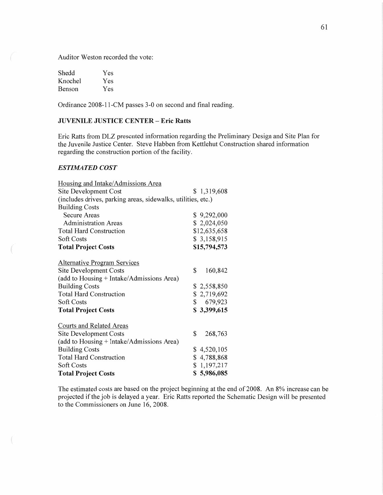Auditor Weston recorded the vote:

| Shedd   | Yes |
|---------|-----|
| Knochel | Yes |
| Benson  | Yes |

Ordinance 2008-11-CM passes 3-0 on second and final reading.

## JUVENILE **JUSTICE CENTER** *—* **Eric Ratts**

Eric Ratts from DLZ presented information regarding the Preliminary Design and Site Plan for the Juvenile Justice Center. Steve Habben from Kettlehut Construction shared information regarding the construction portion of the facility.

# *ESTIMATED COST*

| Housing and Intake/Admissions Area                           |               |
|--------------------------------------------------------------|---------------|
| Site Development Cost                                        | \$1,319,608   |
| (includes drives, parking areas, sidewalks, utilities, etc.) |               |
| <b>Building Costs</b>                                        |               |
| <b>Secure Areas</b>                                          | \$9,292,000   |
| <b>Administration Areas</b>                                  | \$2,024,050   |
| <b>Total Hard Construction</b>                               | \$12,635,658  |
| <b>Soft Costs</b>                                            | \$3,158,915   |
| <b>Total Project Costs</b>                                   | \$15,794,573  |
| <b>Alternative Program Services</b>                          |               |
| Site Development Costs                                       | \$<br>160,842 |
| (add to Housing + Intake/Admissions Area)                    |               |
| <b>Building Costs</b>                                        | \$2,558,850   |
| <b>Total Hard Construction</b>                               | \$2,719,692   |
| <b>Soft Costs</b>                                            | \$679,923     |
| <b>Total Project Costs</b>                                   | \$3,399,615   |
| <b>Courts and Related Areas</b>                              |               |
| Site Development Costs                                       | \$<br>268,763 |
| (add to Housing + Intake/Admissions Area)                    |               |
| <b>Building Costs</b>                                        | \$4,520,105   |
| <b>Total Hard Construction</b>                               | \$4,788,868   |
| Soft Costs                                                   | \$1,197,217   |
| <b>Total Project Costs</b>                                   | \$5,986,085   |

The estimated costs are based on the project beginning at the end of 2008. An 8% increase can be projected if the job is delayed a year. Eric Ratts reported the Schematic Design will be presented to the Commissioners on June 16, 2008.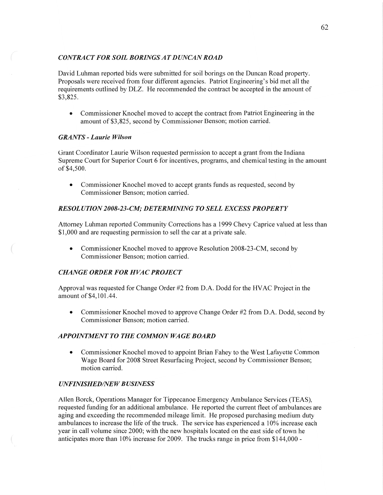# *CONTRACT* FOR *SOIL BORINGSATDUNCANROAD*

**David** Luhman reported bids were submitted for soil borings on the Duncan Road property. Proposals were received from four different agencies. Patriot Engineering's bid met all the requirements outlined by DLZ. He recommended the contract be accepted in the amount of \$3,825.

**0** Commissioner Knochel moved to accept the contract from Patriot Engineering in the amount of \$3,825, second by Commissioner Benson; motion carried.

## *GRANTS - Laurie Wilson*

Grant Coordinator Laurie Wilson requested permission to accept a grant from the Indiana Supreme Court for Superior Court 6 for incentives, programs, and chemical testing in the amount of \$4,500.

**0** Commissioner Knochel moved to accept grants funds as requested, second by Commissioner Benson; motion carried.

## *RESOL* UT ION *2008-23-C1W; DETERMINING T 0 SELL EXCESS PROPERTY*

Attorney Luhman reported Community Corrections has a 1999 Chevy Caprice valued at less than \$1,000 and are requesting permission to sell the car at **a** private sale.

• Commissioner Knochel moved to approve Resolution 2008-23-CM, second by Commissioner Benson; motion carried.

#### *CHANGE ORDER* FOR *H* VAC *PROJECT*

Approval was requested for Change Order #2 from D.A. Dodd for the **HVAC** Project in the amount of \$4,101 .44.

**0** Commissioner Knochel moved to approve Change Order #2 from D.A. Dodd, second by Commissioner Benson; motion carried.

#### *APPOINTMENT* TO THE *COMMON WAGE BOARD*

• Commissioner Knochel moved to appoint Brian Fahey to the West Lafayette Common Wage Board for 2008 Street Resurfacing Project, second by Commissioner Benson; motion carried.

#### *UNFINISHED/NEW BUSINESS*

Allen Borck, Operations Manager for Tippecanoe Emergency Ambulance Services (TEAS), requested funding for an additional ambulance. He reported the current fleet of ambulances are aging and exceeding the recommended mileage limit. He proposed purchasing medium duty ambulances to increase the life of the tmck. The service has experienced a 10% increase each year in call volume since 2000; With the new hospitals located on the east side of town he anticipates more than 10% increase for 2009. The trucks range in price from \$144,000 *-*